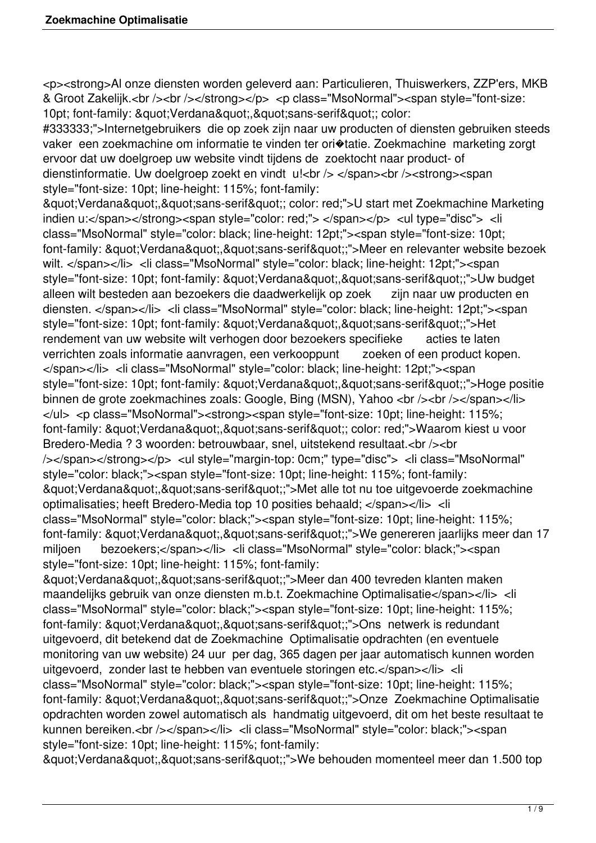<p><strong>Al onze diensten worden geleverd aan: Particulieren, Thuiswerkers, ZZP'ers, MKB & Groot Zakelijk.<br />>/> /></strong></p> <p class="MsoNormal"><span style="font-size: 10pt; font-family: " Verdana", " sans-serif"; color:

#333333;">Internetgebruikers die op zoek zijn naar uw producten of diensten gebruiken steeds vaker een zoekmachine om informatie te vinden ter ori�tatie. Zoekmachine marketing zorgt ervoor dat uw doelgroep uw website vindt tijdens de zoektocht naar product- of dienstinformatie. Uw doelgroep zoekt en vindt u!<br />> </span><br />>/>><strong><span style="font-size: 10pt; line-height: 115%; font-family:

& auot: Verdana & quot:, & quot: sans-serif & quot:: color: red;">U start met Zoekmachine Marketing indien u:</span></strong><span style="color: red;"> </span></p> <ul type="disc"> <li class="MsoNormal" style="color: black; line-height: 12pt;"><span style="font-size: 10pt; font-family: "Verdana","sans-serif";">Meer en relevanter website bezoek wilt. </span></li> <li class="MsoNormal" style="color: black; line-height: 12pt;"><span style="font-size: 10pt; font-family: "Verdana","sans-serif";">Uw budget alleen wilt besteden aan bezoekers die daadwerkelijk op zoek zijn naar uw producten en diensten. </span></li> <li class="MsoNormal" style="color: black; line-height: 12pt;"><span style="font-size: 10pt; font-family: "Verdana","sans-serif";">Het rendement van uw website wilt verhogen door bezoekers specifieke acties te laten verrichten zoals informatie aanvragen, een verkooppunt zoeken of een product kopen. </span></li> <li class="MsoNormal" style="color: black; line-height: 12pt;"><span style="font-size: 10pt; font-family: "Verdana","sans-serif";">Hoge positie binnen de grote zoekmachines zoals: Google, Bing (MSN), Yahoo <br />>/>></br />>//></span></li> </ul> <p class="MsoNormal"><strong><span style="font-size: 10pt; line-height: 115%; font-family: " Verdana", " sans-serif"; color: red;">Waarom kiest u voor Bredero-Media ? 3 woorden: betrouwbaar, snel, uitstekend resultaat.<br />>/>><br /></span></strong></p> <ul style="margin-top: 0cm;" type="disc"> <li class="MsoNormal" style="color: black;"><span style="font-size: 10pt; line-height: 115%; font-family: "Verdana","sans-serif";">Met alle tot nu toe uitgevoerde zoekmachine optimalisaties; heeft Bredero-Media top 10 posities behaald; </span></li> <li class="MsoNormal" style="color: black;"><span style="font-size: 10pt; line-height: 115%; font-family: "Verdana","sans-serif";">We genereren jaarlijks meer dan 17 miljoen bezoekers;</span></li> <li class="MsoNormal" style="color: black;"><span style="font-size: 10pt; line-height: 115%; font-family:

"Verdana","sans-serif";">Meer dan 400 tevreden klanten maken maandelijks gebruik van onze diensten m.b.t. Zoekmachine Optimalisatie</span></li> <li class="MsoNormal" style="color: black;"><span style="font-size: 10pt; line-height: 115%; font-family: "Verdana","sans-serif";">Ons netwerk is redundant uitgevoerd, dit betekend dat de Zoekmachine Optimalisatie opdrachten (en eventuele monitoring van uw website) 24 uur per dag, 365 dagen per jaar automatisch kunnen worden uitgevoerd, zonder last te hebben van eventuele storingen etc.</span></li> <li class="MsoNormal" style="color: black;"><span style="font-size: 10pt; line-height: 115%; font-family: " Verdana"," sans-serif";">Onze Zoekmachine Optimalisatie opdrachten worden zowel automatisch als handmatig uitgevoerd, dit om het beste resultaat te kunnen bereiken.<br />></span></li> <li class="MsoNormal" style="color: black;"><span style="font-size: 10pt; line-height: 115%; font-family:

"Verdana","sans-serif";">We behouden momenteel meer dan 1.500 top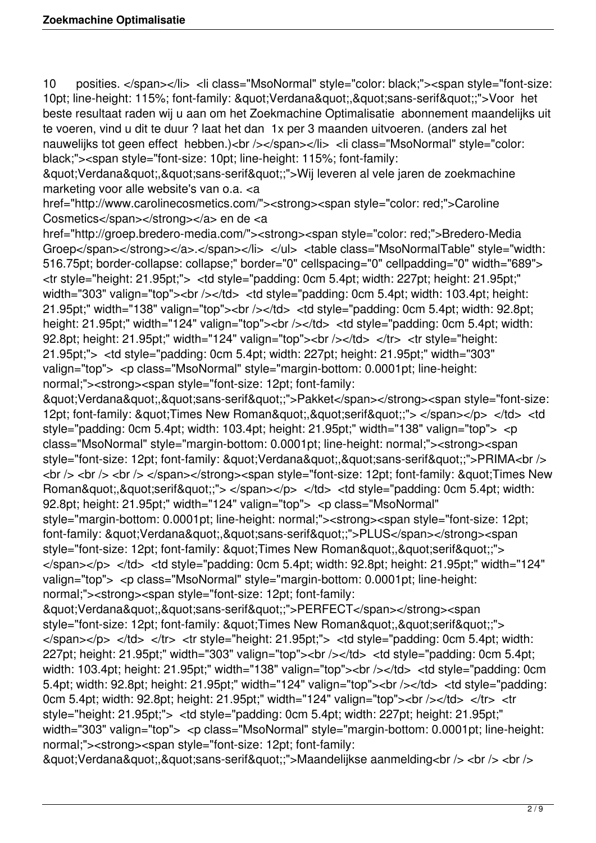10 posities. </span></li> <li class="MsoNormal" style="color: black;"><span style="font-size: 10pt; line-height: 115%; font-family: "Verdana","sans-serif";">Voor het beste resultaat raden wij u aan om het Zoekmachine Optimalisatie abonnement maandelijks uit te voeren, vind u dit te duur ? laat het dan 1x per 3 maanden uitvoeren. (anders zal het nauwelijks tot geen effect hebben.)<br />>/>></span></li</a>> <li class="MsoNormal" style="color: black;"><span style="font-size: 10pt; line-height: 115%; font-family:

& auot: Verdana & quot:, & quot: sans-serif & quot: ">Wij leveren al vele jaren de zoekmachine marketing voor alle website's van o.a. <a

href="http://www.carolinecosmetics.com/"><strong><span style="color: red;">Caroline Cosmetics</span></strong></a> en de <a

href="http://groep.bredero-media.com/"><strong><span style="color: red;">Bredero-Media Groep</span></strong></a>.</span></li></ul> </able class="MsoNormalTable" style="width: 516.75pt; border-collapse: collapse;" border="0" cellspacing="0" cellpadding="0" width="689"> <tr style="height: 21.95pt;"> <td style="padding: 0cm 5.4pt; width: 227pt; height: 21.95pt;" width="303" valign="top"><br />>/td> <td style="padding: 0cm 5.4pt; width: 103.4pt; height: 21.95pt;" width="138" valign="top"><br /></td> <td style="padding: 0cm 5.4pt; width: 92.8pt; height: 21.95pt;" width="124" valign="top"><br />> /> </td> <td style="padding: 0cm 5.4pt; width: 92.8pt; height: 21.95pt;" width="124" valign="top"><br />>/ $\langle$ d> </tr> </tr style="height: 21.95pt;"> <td style="padding: 0cm 5.4pt; width: 227pt; height: 21.95pt;" width="303" valign="top"> <p class="MsoNormal" style="margin-bottom: 0.0001pt; line-height: normal;"><strong><span style="font-size: 12pt; font-family:

"Verdana","sans-serif";">Pakket</span></strong><span style="font-size: 12pt; font-family: " Times New Roman"," serif";"> </span></p> </td> <td style="padding: 0cm 5.4pt; width: 103.4pt; height: 21.95pt;" width="138" valign="top"> <p class="MsoNormal" style="margin-bottom: 0.0001pt; line-height: normal;"><strong><span style="font-size: 12pt; font-family: "Verdana","sans-serif";">PRIMA<br /> <br /> <br /> <br /> </span></strong><span style="font-size: 12pt; font-family: &quot; Times New Roman","serif";"> </span></p> </td> <td style="padding: 0cm 5.4pt; width: 92.8pt; height: 21.95pt;" width="124" valign="top"> <p class="MsoNormal"

style="margin-bottom: 0.0001pt; line-height: normal;"><strong><span style="font-size: 12pt; font-family: "Verdana","sans-serif";">PLUS</span></strong><span style="font-size: 12pt; font-family: "Times New Roman","serif";">  $\langle$ span $\rangle$   $\langle$ /p $>$   $\langle$ /td $>$   $\langle$ td style="padding: 0cm 5.4pt; width: 92.8pt; height: 21.95pt;" width="124" valign="top"> <p class="MsoNormal" style="margin-bottom: 0.0001pt; line-height: normal;"><strong><span style="font-size: 12pt; font-family:

&guot:Verdana&guot:,&guot:sans-serif&guot::">PERFECT</span></strong><span style="font-size: 12pt; font-family: "Times New Roman","serif";">  $\langle$ span> $\langle p \rangle$   $\langle$ td>  $\langle$ tr>  $\langle$ tr style="height: 21.95pt;">  $\langle$ td style="padding: 0cm 5.4pt; width: 227pt; height: 21.95pt;" width="303" valign="top"><br />> /></td> <td style="padding: 0cm 5.4pt; width: 103.4pt; height: 21.95pt;" width="138" valign="top"><br />>/td> <td style="padding: 0cm 5.4pt; width: 92.8pt; height: 21.95pt;" width="124" valign="top"><br /></td> <td style="padding: 0cm 5.4pt; width: 92.8pt; height: 21.95pt;" width="124" valign="top"><br  $\ge$  /> $\lt$ /td>  $\lt$ /tr>  $\lt$ tr style="height: 21.95pt;"> <td style="padding: 0cm 5.4pt; width: 227pt; height: 21.95pt;" width="303" valign="top"> <p class="MsoNormal" style="margin-bottom: 0.0001pt: line-height: normal;"><strong><span style="font-size: 12pt; font-family:

& auot; Verdana& quot;,& quot; sans-serif& quot;;">Maandelijkse aanmelding<br />> <br />> <br />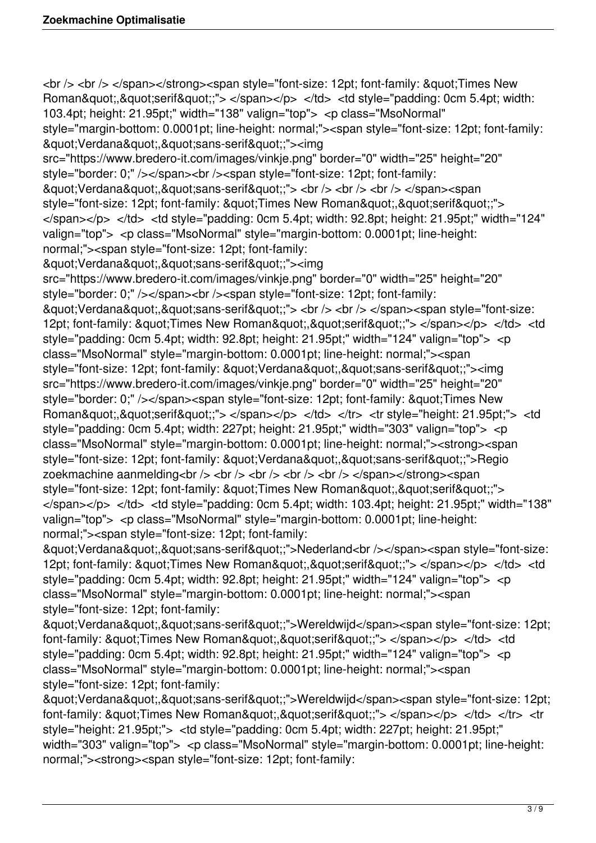<br /> <br /> </span></strong><span style="font-size: 12pt; font-family: &quot:Times New Roman","serif";"> </span></p> </td> <td style="padding: 0cm 5.4pt; width: 103.4pt; height: 21.95pt;" width="138" valign="top"> <p class="MsoNormal" style="margin-bottom: 0.0001pt; line-height: normal;"><span style="font-size: 12pt; font-family: "Verdana","sans-serif";"><img src="https://www.bredero-it.com/images/vinkje.png" border="0" width="25" height="20" style="border: 0;" /></span><br />>/>><span style="font-size: 12pt; font-family: "Verdana","sans-serif";"> <br />> <br />> <br />> </span><span style="font-size: 12pt; font-family: "Times New Roman"."serif";"> </span></p> </td> <td style="padding: 0cm 5.4pt; width: 92.8pt; height: 21.95pt;" width="124" valign="top"> <p class="MsoNormal" style="margin-bottom: 0.0001pt; line-height: normal;"><span style="font-size: 12pt; font-family: "Verdana","sans-serif";"><img src="https://www.bredero-it.com/images/vinkje.png" border="0" width="25" height="20" style="border: 0;" /></span><br />>/>><span style="font-size: 12pt; font-family: "Verdana","sans-serif";"> <br />> <br />> </span><span style="font-size: 12pt; font-family: "Times New Roman","serif";"> </span></p> </td> <td style="padding: 0cm 5.4pt; width: 92.8pt; height: 21.95pt;" width="124" valign="top"> <p class="MsoNormal" style="margin-bottom: 0.0001pt; line-height: normal;"><span style="font-size: 12pt; font-family: "Verdana","sans-serif";"><img src="https://www.bredero-it.com/images/vinkje.png" border="0" width="25" height="20" style="border: 0;" /></span><span style="font-size: 12pt; font-family: &quot;Times New Roman","serif";"> </span></p> </td> </tr> <tr style="height: 21.95pt;"> <td style="padding: 0cm 5.4pt; width: 227pt; height: 21.95pt;" width="303" valign="top"> <p class="MsoNormal" style="margin-bottom: 0.0001pt; line-height: normal;"><strong><span style="font-size: 12pt; font-family: "Verdana","sans-serif";">Regio zoekmachine aanmelding<br />> /> <br />> <br />> <br />> <br />> <br />> </span></strong><span style="font-size: 12pt; font-family: "Times New Roman","serif";">  $\langle$ span $\langle$ p $\rangle$   $\langle$ td $\rangle$   $\langle$ td style="padding: 0cm 5.4pt; width: 103.4pt; height: 21.95pt;" width="138" valign="top"> <p class="MsoNormal" style="margin-bottom: 0.0001pt; line-height: normal;"><span style="font-size: 12pt; font-family: "Verdana","sans-serif";">Nederland<br />>/>></span><span style="font-size: 12pt; font-family: " Times New Roman"," serif";"> </span></p> </td> <td

style="padding: 0cm 5.4pt; width: 92.8pt; height: 21.95pt;" width="124" valign="top"> <p class="MsoNormal" style="margin-bottom: 0.0001pt; line-height: normal;"><span style="font-size: 12pt; font-family:

& quot; Verdana & quot;, & quot; sans-serif & quot;;">Wereldwijd</span><span style="font-size: 12pt; font-family: "Times New Roman","serif";"> </span></p> </td> <td style="padding: 0cm 5.4pt; width: 92.8pt; height: 21.95pt;" width="124" valign="top"> <p class="MsoNormal" style="margin-bottom: 0.0001pt; line-height: normal;"><span style="font-size: 12pt; font-family:

&guot;Verdana&guot;,&guot;sans-serif&guot;;">Wereldwijd</span><span style="font-size: 12pt; font-family:  $&$ quot;Times New Roman $&$ quot; $&$ quot;serif $&$ quot;;"> </span></p> </td> </tr> </tr> style="height: 21.95pt;"> <td style="padding: 0cm 5.4pt; width: 227pt; height: 21.95pt;" width="303" valign="top"> <p class="MsoNormal" style="margin-bottom: 0.0001pt; line-height: normal;"><strong><span style="font-size: 12pt; font-family: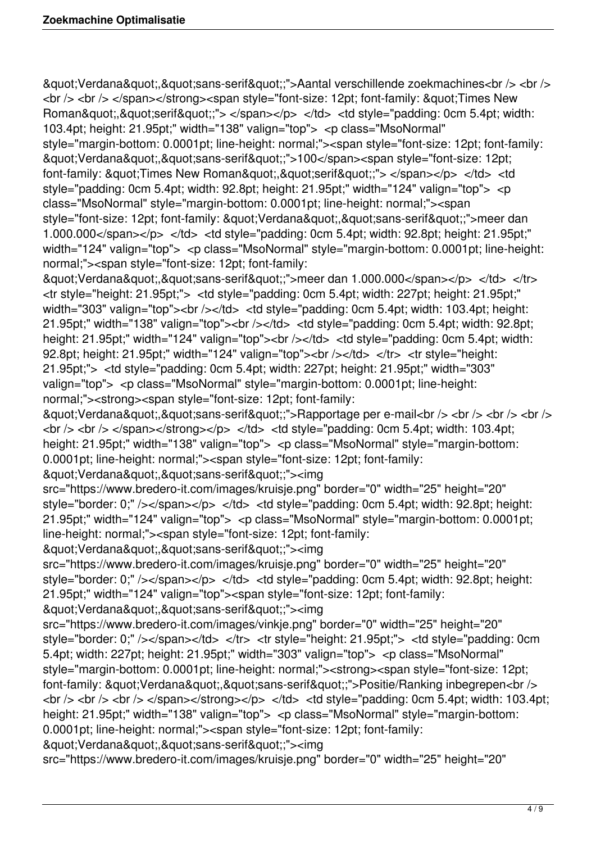& quot; Verdana& quot;,& quot; sans-serif& quot;;"> Aantal verschillende zoekmachines<br />> <br /> <br /> <br /> </span></strong><span style="font-size: 12pt; font-family: &quot; Times New Roman","serif";"> </span></p> </td> <td style="padding: 0cm 5.4pt; width: 103.4pt; height: 21.95pt;" width="138" valign="top"> <p class="MsoNormal"

style="margin-bottom: 0.0001pt; line-height: normal;"><span style="font-size: 12pt; font-family: & guot; Verdana & guot;, & guot; sans-serif & guot;;">100</span><span style="font-size: 12pt; font-family: "Times New Roman","serif";"> </span></p> </td> <td style="padding: 0cm 5.4pt; width: 92.8pt; height: 21.95pt;" width="124" valign="top"> <p class="MsoNormal" style="margin-bottom: 0.0001pt; line-height: normal;"><span style="font-size: 12pt; font-family: "Verdana"."sans-serif";">meer dan 1.000.000</span></p> </td> <td style="padding: 0cm 5.4pt; width: 92.8pt; height: 21.95pt;" width="124" valign="top"> <p class="MsoNormal" style="margin-bottom: 0.0001pt; line-height: normal;"><span style="font-size: 12pt; font-family:

"Verdana","sans-serif";">meer dan 1.000.000</span></p> </td> </tr> <tr style="height: 21.95pt;"> <td style="padding: 0cm 5.4pt; width: 227pt; height: 21.95pt;" width="303" valign="top"><br />>/td> <td style="padding: 0cm 5.4pt; width: 103.4pt; height: 21.95pt;" width="138" valign="top"><br /></td> <td style="padding: 0cm 5.4pt; width: 92.8pt; height: 21.95pt;" width="124" valign="top"><br />> /></td> <td style="padding: 0cm 5.4pt; width: 92.8pt; height: 21.95pt;" width="124" valign="top"><br />>/>></td> </tr> <tr style="height: 21.95pt;"> <td style="padding: 0cm 5.4pt; width: 227pt; height: 21.95pt;" width="303" valign="top"> <p class="MsoNormal" style="margin-bottom: 0.0001pt; line-height: normal;"><strong><span style="font-size: 12pt; font-family:

& quot; Verdana& quot;, & quot; sans-serif& quot;;">Rapportage per e-mail<br />> < br /> < br /> < br />  $\frac{1}{2}$  <br />  $\frac{1}{5}$  </span></strong></p> </td> <td style="padding: 0cm 5.4pt; width: 103.4pt; height: 21.95pt;" width="138" valign="top"> <p class="MsoNormal" style="margin-bottom: 0.0001pt; line-height: normal;"><span style="font-size: 12pt; font-family:

"Verdana","sans-serif";"><img

src="https://www.bredero-it.com/images/kruisje.png" border="0" width="25" height="20" style="border: 0;" /></span></p> </td> <td style="padding: 0cm 5.4pt; width: 92.8pt; height: 21.95pt;" width="124" valign="top"> <p class="MsoNormal" style="margin-bottom: 0.0001pt; line-height: normal;"><span style="font-size: 12pt; font-family:

"Verdana","sans-serif";"><img

src="https://www.bredero-it.com/images/kruisje.png" border="0" width="25" height="20" style="border: 0;" /></span></p> </td> <td style="padding: 0cm 5.4pt; width: 92.8pt; height: 21.95pt;" width="124" valign="top"><span style="font-size: 12pt; font-family: &guot; Verdana&guot;,&guot; sans-serif&guot;;"><img

src="https://www.bredero-it.com/images/vinkje.png" border="0" width="25" height="20" style="border: 0;" /></span></td> </tr> <tr style="height: 21.95pt;"> <td style="padding: 0cm 5.4pt; width: 227pt; height: 21.95pt;" width="303" valign="top"> <p class="MsoNormal" style="margin-bottom: 0.0001pt; line-height: normal;"><strong><span style="font-size: 12pt; font-family: &quot:Verdana&quot:.&quot:sans-serif&quot::">Positie/Ranking inbegrepen<br />  $\langle \text{br} \rangle > \langle \text{br} \rangle$   $\langle \text{br} \rangle$   $\langle \text{br} \rangle$   $\langle \text{br} \rangle$   $\langle \text{br} \rangle$   $\langle \text{t} \rangle$   $\langle \text{t} \rangle$   $\langle \text{t} \rangle$   $\langle \text{t} \rangle$   $\langle \text{t} \rangle$   $\langle \text{t} \rangle$   $\langle \text{t} \rangle$   $\langle \text{t} \rangle$   $\langle \text{t} \rangle$   $\langle \text{t} \rangle$   $\langle \text{t} \rangle$   $\langle \text{t} \rangle$   $\langle \text{t$ height: 21.95pt;" width="138" valign="top"> <p class="MsoNormal" style="margin-bottom: 0.0001pt; line-height: normal;"><span style="font-size: 12pt; font-family:

"Verdana","sans-serif";"><imq

src="https://www.bredero-it.com/images/kruisje.png" border="0" width="25" height="20"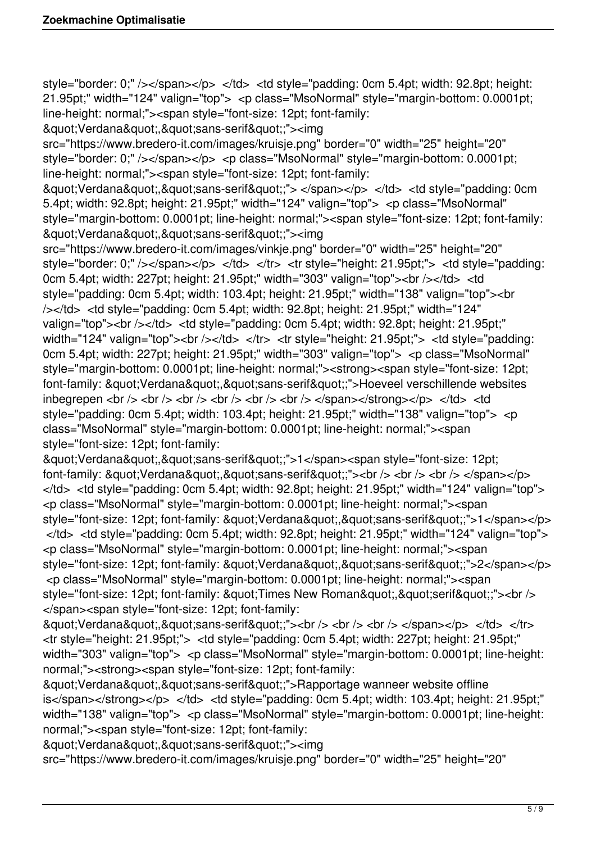style="border: 0;" /></span></p> </td> <td style="padding: 0cm 5.4pt; width: 92.8pt; height: 21.95pt;" width="124" valign="top"> <p class="MsoNormal" style="margin-bottom: 0.0001pt; line-height: normal;"><span style="font-size: 12pt; font-family:

&guot; Verdana&guot;,&guot; sans-serif&guot;;"><img

src="https://www.bredero-it.com/images/kruisje.png" border="0" width="25" height="20" style="border: 0;" /></span></p> <p class="MsoNormal" style="margin-bottom: 0.0001pt; line-height: normal;"><span style="font-size: 12pt; font-family:

"Verdana","sans-serif";"> </span></p> </td> <td style="padding: 0cm 5.4pt; width: 92.8pt; height: 21.95pt;" width="124" valign="top"> <p class="MsoNormal" style="margin-bottom: 0.0001pt; line-height: normal;"><span style="font-size: 12pt; font-family: "Verdana","sans-serif";"><img

src="https://www.bredero-it.com/images/vinkje.png" border="0" width="25" height="20" style="border: 0;" /></span></p> </td> </tr> </tr style="height: 21.95pt;"> <td style="padding: 0cm 5.4pt; width: 227pt; height: 21.95pt;" width="303" valign="top"><br />>/>></td> <td style="padding: 0cm 5.4pt; width: 103.4pt; height: 21.95pt;" width="138" valign="top"><br /></td> <td style="padding: 0cm 5.4pt; width: 92.8pt; height: 21.95pt;" width="124" valign="top"><br />></td> <td style="padding: 0cm 5.4pt; width: 92.8pt; height: 21.95pt;" width="124" valign="top"><br />> </td> </tr> <tr style="height: 21.95pt;"> <td style="padding: 0cm 5.4pt; width: 227pt; height: 21.95pt;" width="303" valign="top"> <p class="MsoNormal" style="margin-bottom: 0.0001pt; line-height: normal;"><strong><span style="font-size: 12pt; font-family: "Verdana","sans-serif";">Hoeveel verschillende websites inbegrepen <br />> /> <br />> <br />> <br />> <br />> <br />> <br />> </br /> </span></strong></p> </td> </td> style="padding: 0cm 5.4pt; width: 103.4pt; height: 21.95pt;" width="138" valign="top"> <p class="MsoNormal" style="margin-bottom: 0.0001pt; line-height: normal;"><span style="font-size: 12pt; font-family:

"Verdana","sans-serif";">1</span><span style="font-size: 12pt; font-family:  $&$ quot;Verdana $&$ quot; $&$ quot;sans-serif $&$ quot;;"><br />>  $&$  <br />> <br />> </span></p>  $\langle t$ d>  $\langle t$ d style="padding: 0cm 5.4pt; width: 92.8pt; height: 21.95pt;" width="124" valign="top"> <p class="MsoNormal" style="margin-bottom: 0.0001pt; line-height: normal;"><span style="font-size: 12pt; font-family: "Verdana","sans-serif";">1</span></p>  $\langle t$ d>  $\langle t$ d style="padding: 0cm 5.4pt; width: 92.8pt; height: 21.95pt;" width="124" valign="top"> <p class="MsoNormal" style="margin-bottom: 0.0001pt; line-height: normal;"><span style="font-size: 12pt; font-family: "Verdana""sans-serif";">2</span></p> <p class="MsoNormal" style="margin-bottom: 0.0001pt; line-height: normal;"><span style="font-size: 12pt; font-family: "Times New Roman","serif";"><br /> </span><span style="font-size: 12pt; font-family:

"Verdana","sans-serif";"><br />> <br />> <br />> </span></p> </td> </tr> <tr style="height: 21.95pt;"> <td style="padding: 0cm 5.4pt; width: 227pt; height: 21.95pt;" width="303" valign="top"> <p class="MsoNormal" style="margin-bottom: 0.0001pt; line-height: normal;"><strong><span style="font-size: 12pt; font-family:

& guot: Verdana & quot:, & quot: sans-serif & quot: ">Rapportage wanneer website offline  $is <$ /span $>$ </strong $>$ </p $>$  </td $>$  <td style="padding: 0cm 5.4pt; width: 103.4pt; height: 21.95pt;" width="138" valign="top"> <p class="MsoNormal" style="margin-bottom: 0.0001pt; line-height: normal;"><span style="font-size: 12pt; font-family:

"Verdana","sans-serif";"><imq

src="https://www.bredero-it.com/images/kruisje.png" border="0" width="25" height="20"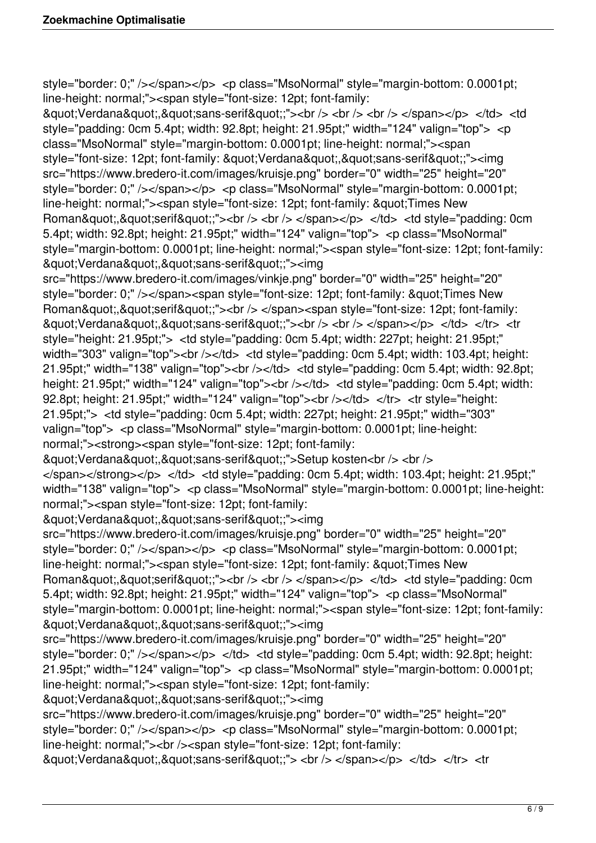style="border: 0;" /></span></p> <p class="MsoNormal" style="margin-bottom: 0.0001pt; line-height: normal;"><span style="font-size: 12pt; font-family:

"Verdana","sans-serif";"><br />> <br />> <br />> </span></p> </td> <td style="padding: 0cm 5.4pt; width: 92.8pt; height: 21.95pt;" width="124" valign="top"> <p class="MsoNormal" style="margin-bottom: 0.0001pt; line-height: normal;"><span style="font-size: 12pt; font-family: "Verdana","sans-serif";"><imq src="https://www.bredero-it.com/images/kruisje.png" border="0" width="25" height="20" style="border: 0;" /></span></p> <p class="MsoNormal" style="margin-bottom: 0.0001pt; line-height: normal;"><span style="font-size: 12pt; font-family: &quot;Times New Roman","serif";"><br />> </br />> </span></p> </td> </dd> <td style="padding: 0cm 5.4pt; width: 92.8pt; height: 21.95pt;" width="124" valign="top"> <p class="MsoNormal" style="margin-bottom: 0.0001pt; line-height: normal;"><span style="font-size: 12pt; font-family: "Verdana","sans-serif";"><img

src="https://www.bredero-it.com/images/vinkje.png" border="0" width="25" height="20" style="border: 0;" /></span><span style="font-size: 12pt; font-family: &quot:Times New Roman","serif";"><br />> </span><span style="font-size: 12pt; font-family: &guot;Verdana&guot;,&guot;sans-serif&guot;;"><br />> </br /> </span></p> </td> </tr> <tr style="height: 21.95pt;"> <td style="padding: 0cm 5.4pt; width: 227pt; height: 21.95pt;" width="303" valign="top"><br />>/td> <td style="padding: 0cm 5.4pt; width: 103.4pt; height: 21.95pt;" width="138" valign="top"><br />> /></td> <td style="padding: 0cm 5.4pt; width: 92.8pt; height: 21.95pt;" width="124" valign="top"><br />> /> </d> <td style="padding: 0cm 5.4pt; width: 92.8pt; height: 21.95pt;" width="124" valign="top"><br />>/>></td> </tr> <tr style="height: 21.95pt;"> <td style="padding: 0cm 5.4pt; width: 227pt; height: 21.95pt;" width="303" valign="top"> <p class="MsoNormal" style="margin-bottom: 0.0001pt; line-height: normal;"><strong><span style="font-size: 12pt; font-family:

"Verdana","sans-serif";">Setup kosten<br />> <br />

 $\langle$ span> $\langle$ strong> $\langle$ p>  $\langle$ td>  $\langle$ td style="padding: 0cm 5.4pt; width: 103.4pt; height: 21.95pt;" width="138" valign="top"> <p class="MsoNormal" style="margin-bottom: 0.0001pt; line-height: normal;"><span style="font-size: 12pt; font-family:

"Verdana","sans-serif";"><img

src="https://www.bredero-it.com/images/kruisje.png" border="0" width="25" height="20" style="border: 0;" /></span></p> <p class="MsoNormal" style="margin-bottom: 0.0001pt; line-height: normal;"><span style="font-size: 12pt; font-family: &quot;Times New Roman","serif";"><br />> </br />> </span></p> </td> </dd> <td style="padding: 0cm 5.4pt; width: 92.8pt; height: 21.95pt;" width="124" valign="top"> <p class="MsoNormal" style="margin-bottom: 0.0001pt; line-height: normal;"><span style="font-size: 12pt; font-family: "Verdana","sans-serif";"><img

src="https://www.bredero-it.com/images/kruisje.png" border="0" width="25" height="20" style="border: 0;"  $\ll$ /span $\ll$ /p $>$   $\ll$ /td $>$   $\ll$ td style="padding: 0cm 5.4pt; width: 92.8pt; height: 21.95pt;" width="124" valign="top"> <p class="MsoNormal" style="margin-bottom: 0.0001pt; line-height: normal;"><span style="font-size: 12pt; font-family:

& au ot: Verdana & quot: . & quot: sans-serif & quot: "> <imq

src="https://www.bredero-it.com/images/kruisje.png" border="0" width="25" height="20" style="border: 0;" /></span></p> <p class="MsoNormal" style="margin-bottom: 0.0001pt; line-height: normal;"><br />><span style="font-size: 12pt; font-family:

&guot;Verdana&guot;,&guot;sans-serif&guot;;"> <br />> </span></p> </td> </tr> <tr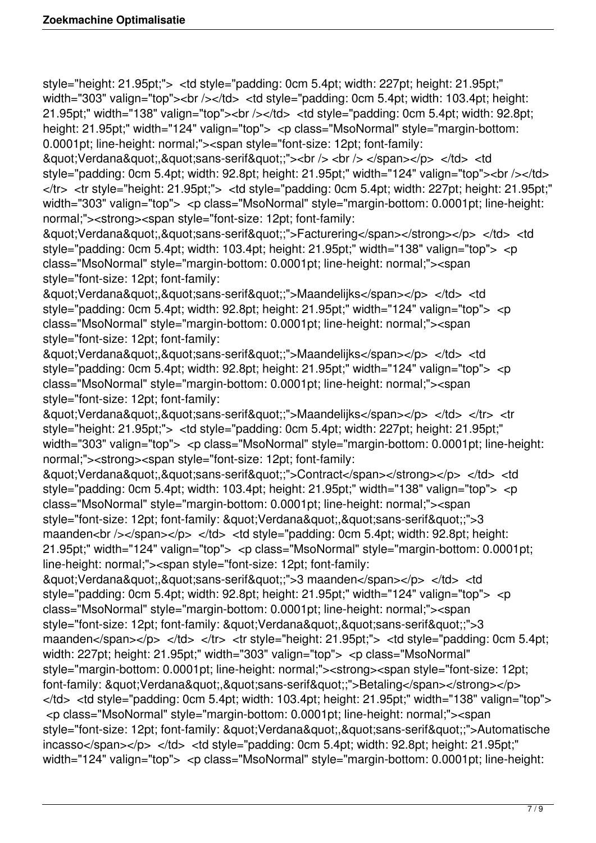style="height: 21.95pt;"> <td style="padding: 0cm 5.4pt; width: 227pt; height: 21.95pt;" width="303" valign="top"><br />>/td> <td style="padding: 0cm 5.4pt; width: 103.4pt; height: 21.95pt;" width="138" valign="top"><br />> $\epsilon$ /d> <td style="padding: 0cm 5.4pt; width: 92.8pt; height: 21.95pt;" width="124" valign="top"> <p class="MsoNormal" style="margin-bottom: 0.0001pt; line-height: normal;"><span style="font-size: 12pt; font-family:

&guot;Verdana&guot;,&guot;sans-serif&guot;;"><br />> </br /> </span></p> </d> </d> style="padding: 0cm 5.4pt; width: 92.8pt; height: 21.95pt;" width="124" valign="top"><br /></td> </tr> <tr style="height: 21.95pt;"> <td style="padding: 0cm 5.4pt; width: 227pt; height: 21.95pt;" width="303" valign="top"> <p class="MsoNormal" style="margin-bottom: 0.0001pt; line-height: normal;"><strong><span style="font-size: 12pt; font-family:

"Verdana","sans-serif";">Facturering</span></strong></p> </td> <td style="padding: 0cm 5.4pt; width: 103.4pt; height: 21.95pt;" width="138" valign="top"> <p class="MsoNormal" style="margin-bottom: 0.0001pt; line-height: normal;"><span style="font-size: 12pt; font-family:

&guot:Verdana&guot:,&guot:sans-serif&guot::">Maandelijks</span></p> </td> <td style="padding: 0cm 5.4pt; width: 92.8pt; height: 21.95pt;" width="124" valign="top"> <p class="MsoNormal" style="margin-bottom: 0.0001pt; line-height: normal;"><span style="font-size: 12pt; font-family:

"Verdana","sans-serif";">Maandelijks</span></p></td></d style="padding: 0cm 5.4pt; width: 92.8pt; height: 21.95pt;" width="124" valign="top"> <p class="MsoNormal" style="margin-bottom: 0.0001pt; line-height: normal;"><span style="font-size: 12pt; font-family:

&guot:Verdana&guot:,&guot:sans-serif&guot::">Maandelijks</span></p> </td> </tr> <tr style="height: 21.95pt;"> <td style="padding: 0cm 5.4pt; width: 227pt; height: 21.95pt;" width="303" valign="top"> <p class="MsoNormal" style="margin-bottom: 0.0001pt; line-height: normal;"><strong><span style="font-size: 12pt; font-family:

"Verdana","sans-serif";">Contract</span></strong></p> </td> <td style="padding: 0cm 5.4pt; width: 103.4pt; height: 21.95pt;" width="138" valign="top"> <p class="MsoNormal" style="margin-bottom: 0.0001pt; line-height: normal;"><span style="font-size: 12pt; font-family: "Verdana","sans-serif";">3 maanden<br />> /> /> /> /p> </td> <td style="padding: 0cm 5.4pt; width: 92.8pt; height: 21.95pt;" width="124" valign="top"> <p class="MsoNormal" style="margin-bottom: 0.0001pt; line-height: normal;"><span style="font-size: 12pt; font-family:

"Verdana","sans-serif";">3 maanden</span></p> </td> <td style="padding: 0cm 5.4pt; width: 92.8pt; height: 21.95pt;" width="124" valign="top"> <p class="MsoNormal" style="margin-bottom: 0.0001pt; line-height: normal;"><span style="font-size: 12pt; font-family: "Verdana","sans-serif";">3 maanden</span></p> </td> </tr> </tr style="height: 21.95pt;"> <td style="padding: 0cm 5.4pt; width: 227pt; height: 21.95pt;" width="303" valign="top"> <p class="MsoNormal" style="margin-bottom: 0.0001pt; line-height: normal;"><strong><span style="font-size: 12pt; font-family: &quot:Verdana&quot:.&quot:sans-serif&quot::">Betaling</span></strong></p>  $\langle t$ d>  $\langle t$ d style="padding: 0cm 5.4pt; width: 103.4pt; height: 21.95pt;" width="138" valign="top"> <p class="MsoNormal" style="margin-bottom: 0.0001pt; line-height: normal;"><span style="font-size: 12pt: font-family: &quot:Verdana&quot:.&quot:sans-serif&quot::">Automatische  $incasso <$ /span $>>$ /p $>$   $<<$ /td $>$   $<<$  td style="padding: 0cm 5.4pt; width: 92.8pt; height: 21.95pt;" width="124" valign="top"> <p class="MsoNormal" style="margin-bottom: 0.0001pt; line-height: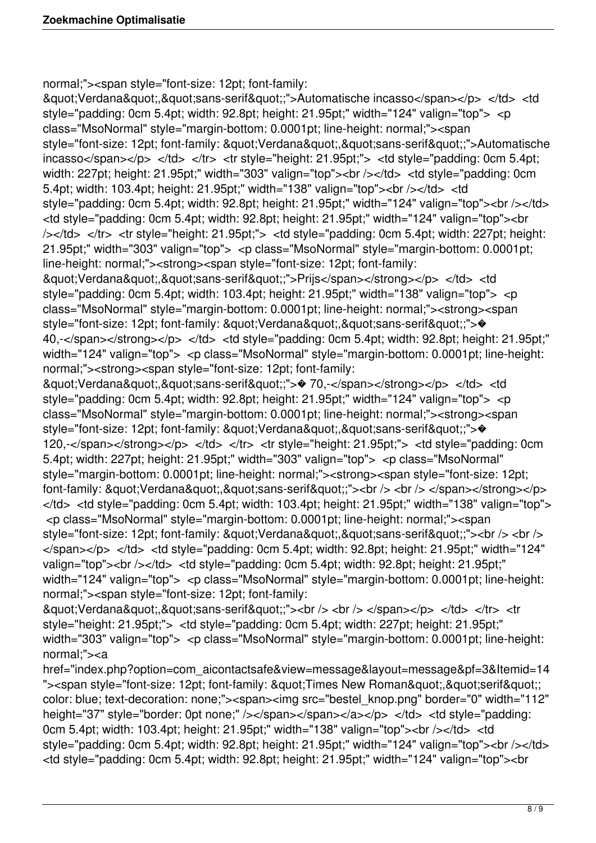normal;"><span style="font-size: 12pt; font-family:

"Verdana","sans-serif";">Automatische incasso</span></p> </td> <td style="padding: 0cm 5.4pt; width: 92.8pt; height: 21.95pt;" width="124" valign="top"> <p class="MsoNormal" style="margin-bottom: 0.0001pt; line-height: normal;"><span style="font-size: 12pt; font-family: "Verdana","sans-serif";">Automatische  $incasso <$ /span $>>$ /p $>>$   $<<$ /td $>>$   $<<$ tr $>>$   $<$ tr style="height: 21.95pt;" $>>$   $<<$ d style="padding: 0cm 5.4pt; width: 227pt; height: 21.95pt;" width="303" valign="top"><br />>>/td> <td style="padding: 0cm 5.4pt; width: 103.4pt; height: 21.95pt;" width="138" valign="top"><br /></td> <td style="padding: 0cm 5.4pt; width: 92.8pt; height: 21.95pt;" width="124" valign="top"><br /></td> <td style="padding: 0cm 5.4pt; width: 92.8pt; height: 21.95pt;" width="124" valign="top"><br /></td> </tr> <tr style="height: 21.95pt;"> <td style="padding: 0cm 5.4pt; width: 227pt; height: 21.95pt;" width="303" valign="top"> <p class="MsoNormal" style="margin-bottom: 0.0001pt; line-height: normal;"><strong><span style="font-size: 12pt; font-family: "Verdana","sans-serif";">Prijs</span></strong></p></td></d style="padding: 0cm 5.4pt; width: 103.4pt; height: 21.95pt;" width="138" valign="top"> <p class="MsoNormal" style="margin-bottom: 0.0001pt; line-height: normal;"><strong><span style="font-size: 12pt; font-family: "Verdana","sans-serif";"> 40,-</span></strong></p> </td> <td style="padding: 0cm 5.4pt; width: 92.8pt; height: 21.95pt;" width="124" valign="top"> <p class="MsoNormal" style="margin-bottom: 0.0001pt; line-height: normal;"><strong><span style="font-size: 12pt; font-family: &guot;Verdana&guot;,&guot;sans-serif&guot;;"> $\otimes$  70,-</span></strong></p> </td> <td style="padding: 0cm 5.4pt; width: 92.8pt; height: 21.95pt;" width="124" valign="top"> <p class="MsoNormal" style="margin-bottom: 0.0001pt; line-height: normal;"><strong><span style="font-size: 12pt; font-family: "Verdana","sans-serif";"> 120,-</span></strong></p> </td> </tr> </tr style="height: 21.95pt;"> <td style="padding: 0cm 5.4pt; width: 227pt; height: 21.95pt;" width="303" valign="top"> <p class="MsoNormal" style="margin-bottom: 0.0001pt; line-height: normal;"><strong><span style="font-size: 12pt; font-family:  $&$ quot;Verdana $&$ quot; $&$ quot;sans-serif $&$ quot;;"><br />> </> <br />> </span></strong></p>  $\langle t$ d>  $\langle t$ d style="padding: 0cm 5.4pt; width: 103.4pt; height: 21.95pt;" width="138" valign="top"> <p class="MsoNormal" style="margin-bottom: 0.0001pt; line-height: normal;"><span style="font-size: 12pt; font-family: "Verdana","sans-serif";"><br /> <br />  $\langle$ span $>\langle p \rangle$   $\langle$ td $>$   $\langle$ td style="padding: 0cm 5.4pt; width: 92.8pt; height: 21.95pt;" width="124" valign="top"><br />> /> /d> <td style="padding: 0cm 5.4pt; width: 92.8pt; height: 21.95pt;" width="124" valign="top"> <p class="MsoNormal" style="margin-bottom: 0.0001pt; line-height: normal;"><span style="font-size: 12pt; font-family: &guot:Verdana&guot:.&guot:sans-serif&guot::"><br />> </br /> </span></p> </td> </tr> <tr style="height: 21.95pt;"> <td style="padding: 0cm 5.4pt; width: 227pt; height: 21.95pt;" width="303" valign="top"> <p class="MsoNormal" style="margin-bottom: 0.0001pt; line-height:

normal;"><a

href="index.php?option=com\_aicontactsafe&view=message&layout=message&pf=3&Itemid=14 "><span style="font-size: 12pt; font-family: &quot;Times New Roman&quot;.&quot;serif&quot;; color: blue; text-decoration: none;"><span><img src="bestel\_knop.png" border="0" width="112" height="37" style="border: 0pt none;" /></span></span></a></p> </td> </dd> <td style="padding: 0cm 5.4pt; width: 103.4pt; height: 21.95pt;" width="138" valign="top"><br />>/>></td> <td style="padding: 0cm 5.4pt; width: 92.8pt; height: 21.95pt;" width="124" valign="top"><br /></td> <td style="padding: 0cm 5.4pt; width: 92.8pt; height: 21.95pt;" width="124" valign="top"><br